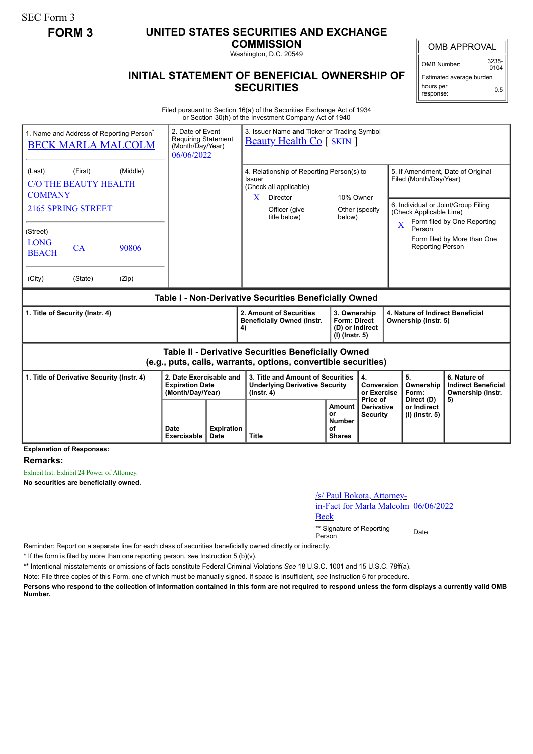SEC Form 3

## **FORM 3 UNITED STATES SECURITIES AND EXCHANGE**

**COMMISSION**

Washington, D.C. 20549

## **INITIAL STATEMENT OF BENEFICIAL OWNERSHIP OF SECURITIES**

OMB APPROVAL

OMB Number: 3235-  $0104$ 

Estimated average burden hours per response: 0.5

Filed pursuant to Section 16(a) of the Securities Exchange Act of 1934 or Section 30(h) of the Investment Company Act of 1940

| 1. Name and Address of Reporting Person <sup>®</sup><br><b>BECK MARLA MALCOLM</b>                                     | 06/06/2022          | 2. Date of Event<br>3. Issuer Name and Ticker or Trading Symbol<br><b>Requiring Statement</b><br><b>Beauty Health Co</b> [ SKIN ]<br>(Month/Day/Year) |                                                                                                             |                                                                                                |                                                                            |                                             |                                                                                               |                                                                 |  |
|-----------------------------------------------------------------------------------------------------------------------|---------------------|-------------------------------------------------------------------------------------------------------------------------------------------------------|-------------------------------------------------------------------------------------------------------------|------------------------------------------------------------------------------------------------|----------------------------------------------------------------------------|---------------------------------------------|-----------------------------------------------------------------------------------------------|-----------------------------------------------------------------|--|
| (Middle)<br>(Last)<br>(First)<br>C/O THE BEAUTY HEALTH<br><b>COMPANY</b>                                              |                     |                                                                                                                                                       | 4. Relationship of Reporting Person(s) to<br>Issuer<br>(Check all applicable)<br>X<br>Director<br>10% Owner |                                                                                                |                                                                            |                                             | 5. If Amendment, Date of Original<br>Filed (Month/Day/Year)                                   |                                                                 |  |
| 2165 SPRING STREET                                                                                                    |                     |                                                                                                                                                       |                                                                                                             | Officer (give<br>Other (specify)<br>title below)<br>below)                                     |                                                                            |                                             | 6. Individual or Joint/Group Filing<br>(Check Applicable Line)<br>Form filed by One Reporting |                                                                 |  |
| (Street)<br><b>LONG</b><br>CA<br>90806<br><b>BEACH</b>                                                                |                     |                                                                                                                                                       |                                                                                                             |                                                                                                |                                                                            |                                             | $\overline{\mathbf{X}}$<br>Person<br><b>Reporting Person</b>                                  | Form filed by More than One                                     |  |
| (City)<br>(State)<br>(Zip)                                                                                            |                     |                                                                                                                                                       |                                                                                                             |                                                                                                |                                                                            |                                             |                                                                                               |                                                                 |  |
| Table I - Non-Derivative Securities Beneficially Owned                                                                |                     |                                                                                                                                                       |                                                                                                             |                                                                                                |                                                                            |                                             |                                                                                               |                                                                 |  |
| 1. Title of Security (Instr. 4)                                                                                       |                     |                                                                                                                                                       | 2. Amount of Securities<br><b>Beneficially Owned (Instr.</b><br>4)                                          |                                                                                                | 3. Ownership<br><b>Form: Direct</b><br>(D) or Indirect<br>$(I)$ (lnstr. 5) |                                             | 4. Nature of Indirect Beneficial<br>Ownership (Instr. 5)                                      |                                                                 |  |
| Table II - Derivative Securities Beneficially Owned<br>(e.g., puts, calls, warrants, options, convertible securities) |                     |                                                                                                                                                       |                                                                                                             |                                                                                                |                                                                            |                                             |                                                                                               |                                                                 |  |
| 1. Title of Derivative Security (Instr. 4)                                                                            |                     | 2. Date Exercisable and<br><b>Expiration Date</b><br>(Month/Day/Year)                                                                                 |                                                                                                             | 3. Title and Amount of Securities<br><b>Underlying Derivative Security</b><br>$($ lnstr. 4 $)$ |                                                                            | 4.<br>Conversion<br>or Exercise<br>Price of | 5.<br>Ownership<br>Form:<br>Direct (D)                                                        | 6. Nature of<br><b>Indirect Beneficial</b><br>Ownership (Instr. |  |
| Evaluación el Be                                                                                                      | Date<br>Exercisable | <b>Expiration</b><br><b>Date</b>                                                                                                                      | <b>Title</b>                                                                                                |                                                                                                | Amount<br>or<br><b>Number</b><br>οf<br><b>Shares</b>                       | <b>Derivative</b><br><b>Security</b>        | or Indirect<br>(I) (Instr. 5)                                                                 | 5)                                                              |  |

**Explanation of Responses:**

**Remarks:**

Exhibit list: Exhibit 24 Power of Attorney.

**No securities are beneficially owned.**

/s/ Paul Bokota, Attorney-

in-Fact for Marla Malcolm 06/06/2022 Beck

\*\* Signature of Reporting <sub>Date</sub><br>Person

Reminder: Report on a separate line for each class of securities beneficially owned directly or indirectly.

\* If the form is filed by more than one reporting person, *see* Instruction 5 (b)(v).

\*\* Intentional misstatements or omissions of facts constitute Federal Criminal Violations *See* 18 U.S.C. 1001 and 15 U.S.C. 78ff(a).

Note: File three copies of this Form, one of which must be manually signed. If space is insufficient, *see* Instruction 6 for procedure.

**Persons who respond to the collection of information contained in this form are not required to respond unless the form displays a currently valid OMB Number.**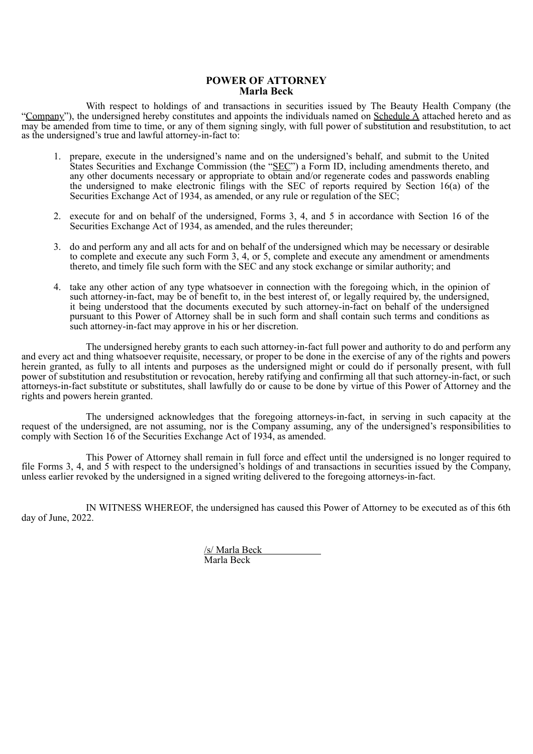## **POWER OF ATTORNEY Marla Beck**

With respect to holdings of and transactions in securities issued by The Beauty Health Company (the "Company"), the undersigned hereby constitutes and appoints the individuals named on Schedule A attached hereto and as may be amended from time to time, or any of them signing singly, with full power of substitution and resubstitution, to act as the undersigned's true and lawful attorney-in-fact to:

- 1. prepare, execute in the undersigned's name and on the undersigned's behalf, and submit to the United States Securities and Exchange Commission (the "SEC") a Form ID, including amendments thereto, and any other documents necessary or appropriate to obtain and/or regenerate codes and passwords enabling the undersigned to make electronic filings with the SEC of reports required by Section 16(a) of the Securities Exchange Act of 1934, as amended, or any rule or regulation of the SEC;
- 2. execute for and on behalf of the undersigned, Forms 3, 4, and 5 in accordance with Section 16 of the Securities Exchange Act of 1934, as amended, and the rules thereunder;
- 3. do and perform any and all acts for and on behalf of the undersigned which may be necessary or desirable to complete and execute any such Form 3, 4, or 5, complete and execute any amendment or amendments thereto, and timely file such form with the SEC and any stock exchange or similar authority; and
- 4. take any other action of any type whatsoever in connection with the foregoing which, in the opinion of such attorney-in-fact, may be of benefit to, in the best interest of, or legally required by, the undersigned, it being understood that the documents executed by such attorney-in-fact on behalf of the undersigned pursuant to this Power of Attorney shall be in such form and shall contain such terms and conditions as such attorney-in-fact may approve in his or her discretion.

The undersigned hereby grants to each such attorney-in-fact full power and authority to do and perform any and every act and thing whatsoever requisite, necessary, or proper to be done in the exercise of any of the rights and powers herein granted, as fully to all intents and purposes as the undersigned might or could do if personally present, with full power of substitution and resubstitution or revocation, hereby ratifying and confirming all that such attorney-in-fact, or such attorneys-in-fact substitute or substitutes, shall lawfully do or cause to be done by virtue of this Power of Attorney and the rights and powers herein granted.

The undersigned acknowledges that the foregoing attorneys-in-fact, in serving in such capacity at the request of the undersigned, are not assuming, nor is the Company assuming, any of the undersigned's responsibilities to comply with Section 16 of the Securities Exchange Act of 1934, as amended.

This Power of Attorney shall remain in full force and effect until the undersigned is no longer required to file Forms 3, 4, and 5 with respect to the undersigned's holdings of and transactions in securities issued by the Company, unless earlier revoked by the undersigned in a signed writing delivered to the foregoing attorneys-in-fact.

IN WITNESS WHEREOF, the undersigned has caused this Power of Attorney to be executed as of this 6th day of June, 2022.

> /s/ Marla Beck Marla Beck